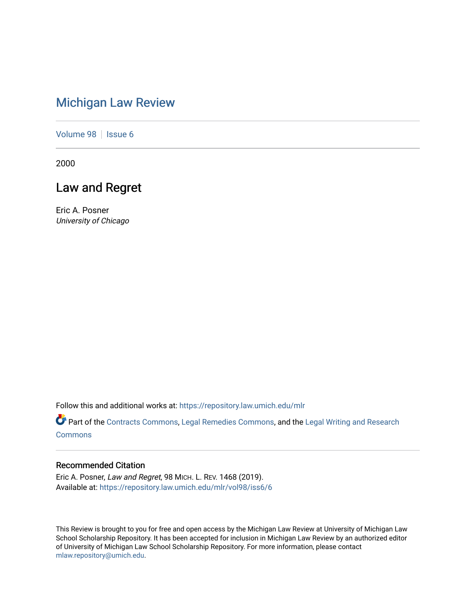## [Michigan Law Review](https://repository.law.umich.edu/mlr)

[Volume 98](https://repository.law.umich.edu/mlr/vol98) | [Issue 6](https://repository.law.umich.edu/mlr/vol98/iss6)

2000

## Law and Regret

Eric A. Posner University of Chicago

Follow this and additional works at: [https://repository.law.umich.edu/mlr](https://repository.law.umich.edu/mlr?utm_source=repository.law.umich.edu%2Fmlr%2Fvol98%2Fiss6%2F6&utm_medium=PDF&utm_campaign=PDFCoverPages) 

Part of the [Contracts Commons](http://network.bepress.com/hgg/discipline/591?utm_source=repository.law.umich.edu%2Fmlr%2Fvol98%2Fiss6%2F6&utm_medium=PDF&utm_campaign=PDFCoverPages), [Legal Remedies Commons,](http://network.bepress.com/hgg/discipline/618?utm_source=repository.law.umich.edu%2Fmlr%2Fvol98%2Fiss6%2F6&utm_medium=PDF&utm_campaign=PDFCoverPages) and the Legal Writing and Research [Commons](http://network.bepress.com/hgg/discipline/614?utm_source=repository.law.umich.edu%2Fmlr%2Fvol98%2Fiss6%2F6&utm_medium=PDF&utm_campaign=PDFCoverPages)

## Recommended Citation

Eric A. Posner, Law and Regret, 98 MICH. L. REV. 1468 (2019). Available at: [https://repository.law.umich.edu/mlr/vol98/iss6/6](https://repository.law.umich.edu/mlr/vol98/iss6/6?utm_source=repository.law.umich.edu%2Fmlr%2Fvol98%2Fiss6%2F6&utm_medium=PDF&utm_campaign=PDFCoverPages)

This Review is brought to you for free and open access by the Michigan Law Review at University of Michigan Law School Scholarship Repository. It has been accepted for inclusion in Michigan Law Review by an authorized editor of University of Michigan Law School Scholarship Repository. For more information, please contact [mlaw.repository@umich.edu.](mailto:mlaw.repository@umich.edu)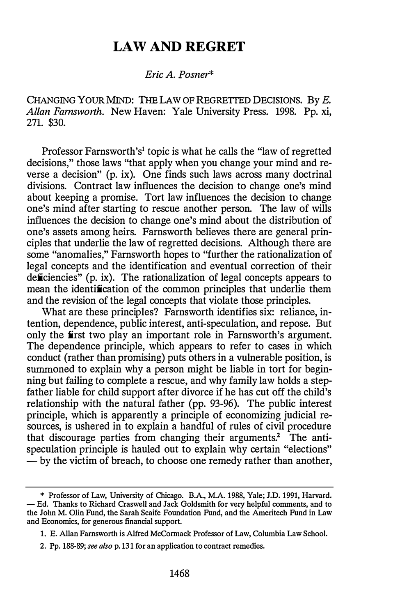## LAW AND REGRET

Eric A. Posner\*

CHANGING YOUR MIND: THE LAW OF REGRETTED DECISIONS. By  $E$ . Allan Farnsworth. New Haven: Yale University Press. 1998. Pp. xi, 271. \$30.

Professor Farnsworth's<sup>1</sup> topic is what he calls the "law of regretted" decisions," those laws "that apply when you change your mind and reverse a decision" (p. ix). One finds such laws across many doctrinal divisions. Contract law influences the decision to change one's mind about keeping a promise. Tort law influences the decision to change one's mind after starting to rescue another person. The law of wills influences the decision to change one's mind about the distribution of one's assets among heirs. Farnsworth believes there are general principles that underlie the law of regretted decisions. Although there are some "anomalies,'' Farnsworth hopes to "further the rationalization of legal concepts and the identification and eventual correction of their deficiencies" (p. ix). The rationalization of legal concepts appears to mean the identification of the common principles that underlie them and the revision of the legal concepts that violate those principles.

What are these principles? Farnsworth identifies six: reliance, intention, dependence, public interest, anti-speculation, and repose. But only the first two play an important role in Farnsworth's argument. The dependence principle, which appears to refer to cases in which conduct (rather than promising) puts others in a vulnerable position, is summoned to explain why a person might be liable in tort for beginning but failing to complete a rescue, and why family law holds a stepfather liable for child support after divorce if he has cut off the child's relationship with the natural father (pp. 93-96). The public interest principle, which is apparently a principle of economizing judicial resources, is ushered in to explain a handful of rules of civil procedure that discourage parties from changing their arguments.2 The antispeculation principle is hauled out to explain why certain "elections"  $\overline{-}$  by the victim of breach, to choose one remedy rather than another,

<sup>\*</sup> Professor of Law, University of Chicago. B.A., M.A. 1988, Yale; J.D. 1991, Harvard. - Ed. Thanks to Richard Craswell and Jack Goldsmith for very helpful comments, and to the John M. Olin Fund, the Sarah Scaife Foundation Fund, and the Ameritech Fund in Law and Economics, for generous financial support.

<sup>1.</sup> E. Allan Farnsworth is Alfred McCormack Professor of Law, Columbia Law School.

<sup>2.</sup> Pp. 188-89; see also p. 131 for an application to contract remedies.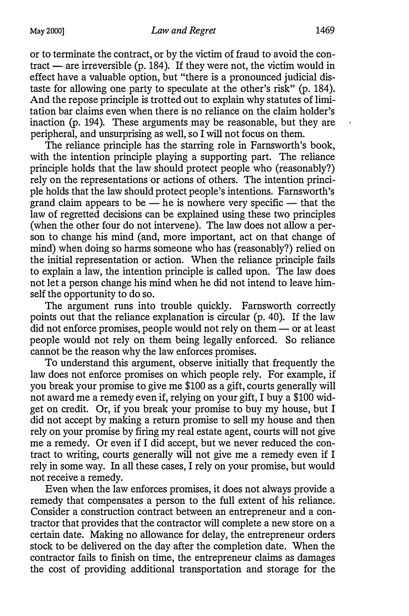or to terminate the contract, or by the victim of fraud to avoid the contract  $-$  are irreversible (p. 184). If they were not, the victim would in effect have a valuable option, but "there is a pronounced judicial distaste for allowing one party to speculate at the other's risk" (p. 184). And the repose principle is trotted out to explain why statutes of limitation bar claims even when there is no reliance on the claim holder's inaction (p. 194). These arguments may be reasonable, but they are peripheral, and unsurprising as well, so I will not focus on them.

The reliance principle has the starring role in Farnsworth's book, with the intention principle playing a supporting part. The reliance principle holds that the law should protect people who (reasonably?) rely on the representations or actions of others. The intention principle holds that the law should protect people's intentions. Farnsworth's grand claim appears to be  $\overline{-}$  he is nowhere very specific  $\overline{-}$  that the law of regretted decisions can be explained using these two principles (when the other four do not intervene). The law does not allow a person to change his mind (and, more important, act on that change of mind) when doing so harms someone who has (reasonably?) relied on the initial representation or action. When the reliance principle fails to explain a law, the intention principle is called upon. The law does not let a person change his mind when he did not intend to leave himself the opportunity to do so.

The argument runs into trouble quickly. Farnsworth correctly points out that the reliance explanation is circular (p. 40). If the law  $\overline{d}$  did not enforce promises, people would not rely on them  $\overline{-}$  or at least people would not rely on them being legally enforced. So reliance cannot be the reason why the law enforces promises.

To understand this argument, observe initially that frequently the law does not enforce promises on which people rely. For example, if you break your promise to give me \$100 as a gift, courts generally will not award me a remedy even if, relying on your gift, I buy a \$100 widget on credit. Or, if you break your promise to buy my house, but I did not accept by making a return promise to sell my house and then rely on your promise by firing my real estate agent, courts will not give me a remedy. Or even if I did accept, but we never reduced the contract to writing, courts generally will not give me a remedy even if I rely in some way. In all these cases, I rely on your promise, but would not receive a remedy.

Even when the law enforces promises, it does not always provide a remedy that compensates a person to the full extent of his reliance. Consider a construction contract between an entrepreneur and a contractor that provides that the contractor will complete a new store on a certain date. Making no allowance for delay, the entrepreneur orders stock to be delivered on the day after the completion date. When the contractor fails to finish on time, the entrepreneur claims as damages the cost of providing additional transportation and storage for the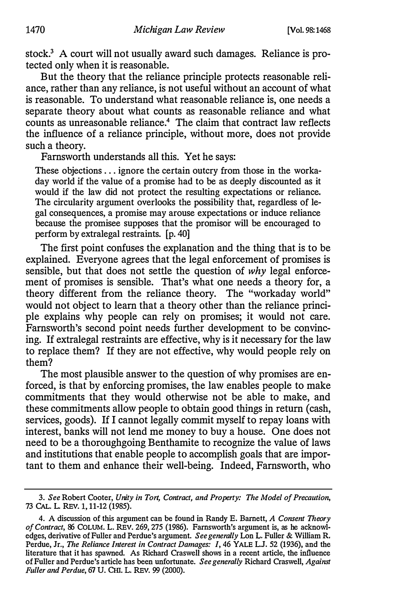stock.<sup>3</sup> A court will not usually award such damages. Reliance is protected only when it is reasonable.

But the theory that the reliance principle protects reasonable reliance, rather than any reliance, is not useful without an account of what is reasonable. To understand what reasonable reliance is, one needs a separate theory about what counts as reasonable reliance and what counts as unreasonable reliance.4 The claim that contract law reflects the influence of a reliance principle, without more, does not provide such a theory.

Farnsworth understands all this. Yet he says:

These objections ... ignore the certain outcry from those in the workaday world if the value of a promise had to be as deeply discounted as it would if the law did not protect the resulting expectations or reliance. The circularity argument overlooks the possibility that, regardless of legal consequences, a promise may arouse expectations or induce reliance because the promisee supposes that the promisor will be encouraged to perform by extralegal restraints. [p. 40]

The first point confuses the explanation and the thing that is to be explained. Everyone agrees that the legal enforcement of promises is sensible, but that does not settle the question of why legal enforcement of promises is sensible. That's what one needs a theory for, a theory different from the reliance theory. The "workaday world" would not object to learn that a theory other than the reliance principle explains why people can rely on promises; it would not care. Farnsworth's second point needs further development to be convincing. If extralegal restraints are effective, why is it necessary for the law to replace them? If they are not effective, why would people rely on them?

The most plausible answer to the question of why promises are enforced, is that by enforcing promises, the law enables people to make commitments that they would otherwise not be able to make, and these commitments allow people to obtain good things in return (cash, services, goods). If I cannot legally commit myself to repay loans with interest, banks will not lend me money to buy a house. One does not need to be a thoroughgoing Benthamite to recognize the value of laws and institutions that enable people to accomplish goals that are important to them and enhance their well-being. Indeed, Farnsworth, who

<sup>3.</sup> See Robert Cooter, Unity in Tort, Contract, and Property: The Model of Precaution, 73 CAL. L. REV. l, 11-12 {1985).

<sup>4.</sup> A discussion of this argument can be found in Randy E. Barnett, A Consent Theory of Contract, 86 COLUM. L. REV. 269, 275 {1986). Farnsworth's argument is, as he acknowledges, derivative of Fuller and Perdue's argument. See generally Lon L. Fuller & William R. Perdue, Jr., The Reliance Interest in Contract Damages: I, 46 YALE L.J. 52 {1936), and the literature that it has spawned. As Richard Craswell shows in a recent article, the influence of Fuller and Perdue's article has been unfortunate. See generally Richard Craswell, Against Fuller and Perdue, 61 U. CHI. L. REV. 99 {2000).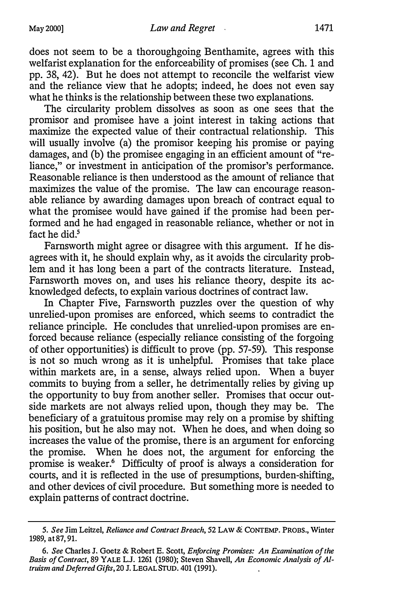does not seem to be a thoroughgoing Benthamite, agrees with this welfarist explanation for the enforceability of promises (see Ch. 1 and pp. 38, 42). But he does not attempt to reconcile the welfarist view and the reliance view that he adopts; indeed, he does not even say what he thinks is the relationship between these two explanations.

The circularity problem dissolves as soon as one sees that the promisor and promisee have a joint interest in taking actions that maximize the expected value of their contractual relationship. This will usually involve (a) the promisor keeping his promise or paying damages, and (b) the promisee engaging in an efficient amount of "reliance," or investment in anticipation of the promisor's performance. Reasonable reliance is then understood as the amount of reliance that maximizes the value of the promise. The law can encourage reasonable reliance by awarding damages upon breach of contract equal to what the promisee would have gained if the promise had been performed and he had engaged in reasonable reliance, whether or not in fact he did.<sup>5</sup>

Farnsworth might agree or disagree with this argument. If he disagrees with it, he should explain why, as it avojds the circularity problem and it has long been a part of the contracts literature. Instead, Farnsworth moves on, and uses his reliance theory, despite its acknowledged defects, to explain various doctrines of contract law.

In Chapter Five, Farnsworth puzzles over the question of why unrelied-upon promises are enforced, which seems to contradict the reliance principle. He concludes that unrelied-upon promises are enforced because. reliance (especially reliance consisting of the forgoing of other opportunities) is difficult to prove (pp. 57-59). This response is not so much wrong as it is unhelpful. Promises that take place within markets are, in a sense, always relied upon. When a buyer commits to buying from a seller, he detrimentally relies by giving up the opportunity to buy from another seller. Promises that occur outside markets are not always relied upon, though they may be. The beneficiary of a gratuitous promise may rely on a promise by shifting his position, but he also may not. When he does, and when doing so increases the value of the promise, there is an argument for enforcing the promise. When he does not, the argument for enforcing the promise is weaker.6 Difficulty of proof is always a consideration for courts, and it is reflected in the use of presumptions, burden-shifting, and other devices of civil procedure. But something more is needed to explain patterns of contract doctrine.

<sup>5.</sup> See Jim Leitzel, Reliance and Contract Breach, 52 LAW & CONTEMP. PROBS., Winter 1989, at 87, 91.

<sup>6.</sup> See Charles J. Goetz & Robert E. Scott, Enforcing Promises: An Examination of the Basis of Contract, 89 YALE LJ. 1261 (1980); Steven Shavell, An Economic Analysis of Altruism and Deferred Gifts, 20 J. LEGAL STUD. 401 (1991).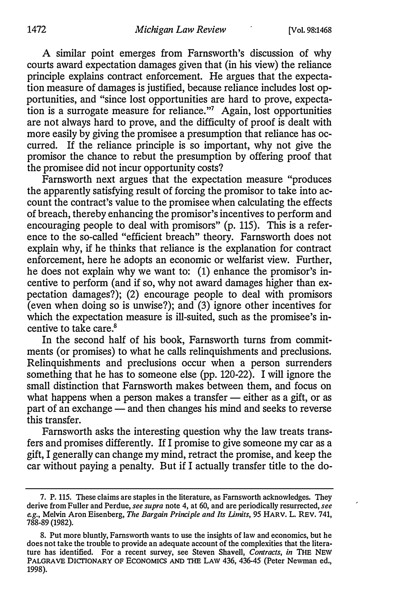A similar point emerges from Farnsworth's discussion of why courts award expectation damages given that (in his view) the reliance principle explains contract enforcement. He argues that the expectation measure of damages is justified, because reliance includes lost opportunities, and "since lost opportunities are hard to prove, expectation is a surrogate measure for reliance."7 Again, lost opportunities are not always hard to prove, and the difficulty of proof is dealt with more easily by giving the promisee a presumption that reliance has occurred. If the reliance principle is so important, why not give the promisor the chance to rebut the presumption by offering proof that the promisee did not incur opportunity costs?

Farnsworth next argues that the expectation measure "produces the apparently satisfying result of forcing the promisor to take into account the contract's value to the promisee when calculating the effects of breach, thereby enhancing the promisor's incentives to perform and encouraging people to deal with promisors" (p. 115). This is a reference to the so-called "efficient breach" theory. Farnsworth does not explain why, if he thinks that reliance is the explanation for contract enforcement, here he adopts an economic or welfarist view. Further, he does not explain why we want to: (1) enhance the promisor's incentive to perform (and if so, why not award damages higher than expectation damages?); (2) encourage people to deal with promisors (even when doing so is unwise?); and (3) ignore other incentives for which the expectation measure is ill-suited, such as the promisee's incentive to take care.<sup>8</sup>

In the second half of his book, Farnsworth turns from commitments (or promises) to what he calls relinquishments and preclusions. Relinquishments and preclusions occur when a person surrenders something that he has to someone else (pp. 120-22). I will ignore the small distinction that Farnsworth makes between them, and focus on what happens when a person makes a transfer  $-$  either as a gift, or as part of an exchange — and then changes his mind and seeks to reverse this transfer.

Farnsworth asks the interesting question why the law treats transfers and promises differently. If I promise to give someone my car as a gift, I generally can change my mind, retract the promise, and keep the car without paying a penalty. But if I actually transfer title to the do-

<sup>7.</sup> P. 115. These claims are staples in the literature, as Farnsworth acknowledges. They derive from Fuller and Perdue, see supra note 4, at 60, and are periodically resurrected, see e.g., Melvin Aron Eisenberg, The Bargain Principle and Its Limits, 95 HARV. L. REV. 741, 788-89 (1982).

<sup>8.</sup> Put more bluntly, Farnsworth wants to use the insights of law and economics, but he does not take the trouble to provide an adequate account of the complexities that the literature has identified. For a recent survey, see Steven Shavell, Contracts, in THE NEW PALGRAVE DICTIONARY OF ECONOMICS AND THE LAW 436, 436-45 (Peter Newman ed., 1998).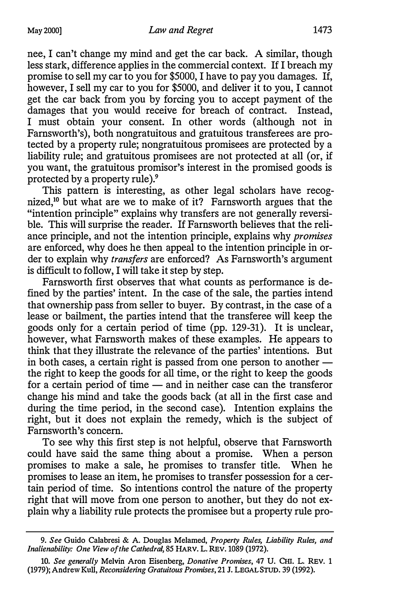nee, I can't change my mind and get the car back. A similar, though less stark, difference applies in the commercial context. If I breach my promise to sell my car to you for \$5000, I have to pay you damages. If, however, I sell my car to you for \$5000, and deliver it to you, I cannot get the car back from you by forcing you to accept payment of the damages that you would receive for breach of contract. Instead, I must obtain your consent. In other words (although not in Farnsworth's), both nongratuitous and gratuitous transferees are protected by a property rule; nongratuitous promisees are protected by a liability rule; and gratuitous promisees are not protected at all (or, if you want, the gratuitous promisor's interest in the promised goods is protected by a property rule).<sup>9</sup>

This pattern is interesting, as other legal scholars have recognized,<sup>10</sup> but what are we to make of it? Farnsworth argues that the "intention principle" explains why transfers are not generally reversible. This will surprise the reader. If Farnsworth believes that the reliance principle, and not the intention principle, explains why *promises* are enforced, why does he then appeal to the intention principle in order to explain why transfers are enforced? As Farnsworth's argument is difficult to follow, I will take it step by step.

Farnsworth first observes that what counts as performance is defined by the parties' intent. In the case of the sale, the parties intend that ownership pass from seller to buyer. By contrast, in the case of a lease or bailment, the parties intend that the transferee will keep the goods only for a certain period of time (pp. 129-31). It is unclear, however, what Farnsworth makes of these examples. He appears to think that they illustrate the relevance of the parties' intentions. But in both cases, a certain right is passed from one person to another  $$ the right to keep the goods for all time, or the right to keep the goods for a certain period of time  $-$  and in neither case can the transferor change his mind and take the goods back (at all in the first case and during the time period, in the second case). Intention explains the right, but it does not explain the remedy, which is the subject of Farnsworth's concern.

To see why this first step is not helpful, observe that Farnsworth could have said the same thing about a promise. When a person promises to make a sale, he promises to transfer title. When he promises to lease an item, he promises to transfer possession for a certain period of time. So intentions control the nature of the property right that will move from one person to another, but they do not explain why a liability rule protects the promisee but a property rule pro-

<sup>9.</sup> See Guido Calabresi & A. Douglas Melamed, Property Rules, Liability Rules, and Inalienability: One View of the Cathedral, 85 HARV. L. REV. 1089 (1972).

<sup>10.</sup> See generally Melvin Aron Eisenberg, Donative Promises, 47 U. CHI. L. REV. 1 (1979); Andrew Kull, Reconsidering Gratuitous Promises, 21 J. LEGAL STUD. 39 (1992).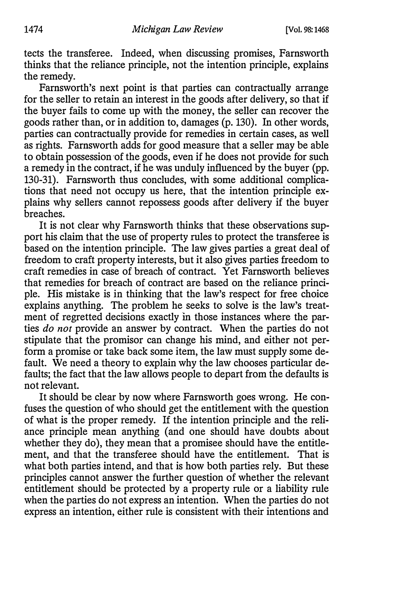tects the transferee. Indeed, when discussing promises, Farnsworth thinks that the reliance principle, not the intention principle, explains the remedy.

Farnsworth's next point is that parties can contractually arrange for the seller to retain an interest in the goods after delivery, so that if the buyer fails to come up with the money, the seller can recover the goods rather than, or in addition to, damages (p. 130). In other words, parties can contractually provide for remedies in certain cases, as well as rights. Farnsworth adds for good measure that a seller may be able to obtain possession-of the goods, even if he does not provide for such a remedy in the contract, if he was unduly influenced by the buyer (pp. 130-31). Farnsworth thus concludes, with some additional complications that need not occupy us here, that the intention principle explains why sellers cannot repossess goods after delivery if the buyer breaches.

It is not clear why Farnsworth thinks that these observations support his claim that the use of property rules to protect the transferee is based on the intention principle. The law gives parties a great deal of freedom to craft property interests, but it also gives parties freedom to craft remedies in case of breach of contract. Yet Farnsworth believes that remedies for breach of contract are based on the reliance principle. His mistake is in thinking that the law's respect for free choice explains anything. The problem he seeks to solve is the law's treatment of regretted decisions exactly in those instances where the parties do not provide an answer by contract. When the parties do not stipulate that the promisor can change his mind, and either not perform a promise or take back some item, the law must supply some default. We need a theory to explain why the law chooses particular defaults; the fact that the law allows people to depart from the defaults is not relevant.

It should be clear by now where Farnsworth goes wrong. He confuses the question of who should get the entitlement with the question of what is the proper remedy. If the intention principle and the reliance principle mean anything (and one should have doubts about whether they do), they mean that a promisee should have the entitlement, and that the transferee should have the entitlement. That is what both parties intend, and that is how both parties rely. But these principles cannot answer the further question of whether the relevant entitlement should be protected by a property rule or a liability rule when the parties do not express an intention. When the parties do not express an intention, either rule is consistent with their intentions and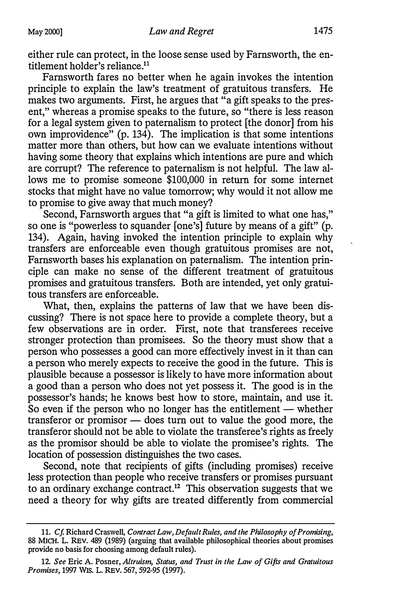either rule can protect, in the loose sense used by Farnsworth, the entitlement holder's reliance.<sup>11</sup>

Farnsworth fares no better when he again invokes the intention principle to explain the law's treatment of gratuitous transfers. He makes two arguments. First, he argues that "a gift speaks to the present," whereas a promise speaks to the future, so "there is less reason for a legal system given to paternalism to protect [the donor] from his own improvidence" (p. 134). The implication is that some intentions matter more than others, but how can we evaluate intentions without having some theory that explains which intentions are pure and which are corrupt? The reference to paternalism is not helpful. The law allows me to promise someone \$100,000 in return for some internet stocks that might have no value tomorrow; why would it not allow me to promise to give away that much money?

Second, Farnsworth argues that "a gift is limited to what one has," so one is "powerless to squander [one's] future by means of a gift" (p. 134). Again, having invoked the intention principle to explain why transfers are enforceable even though gratuitous promises are not, Farnsworth bases his explanation on paternalism. The intention principle can make no sense of the different treatment of gratuitous promises and gratuitous transfers. Both are intended, yet only gratuitous transfers are enforceable.

What, then, explains the patterns of law that we have been discussing? There is not space here to provide a complete theory, but a few observations are in order. First, note that transferees receive stronger protection than promisees. So the theory must show that a person who possesses a good can more effectively invest in it than can a person who merely expects to receive the good in the future. This is plausible because a possessor is likely to have more information about a good than a person who does not yet possess it. The good is in the possessor's hands; he knows best how to store, maintain, and use it. So even if the person who no longer has the entitlement — whether  $transferror$  or promisor  $-$  does turn out to value the good more, the transferor should not be able to violate the transferee's rights as freely as the promisor should be able to violate the promisee's rights. The location of possession distinguishes the two cases.

Second, note that recipients of gifts (including promises) receive less protection than people who receive transfers or promises pursuant to an ordinary exchange contract.<sup>12</sup> This observation suggests that we need a theory for why gifts are treated differently from commercial

<sup>11.</sup> Cf. Richard Craswell, Contract Law, Default Rules, and the Philosophy of Promising, 88 MICH. L. REV. 489 (1989) (arguing that available philosophical theories about promises provide no basis for choosing among default rules).

<sup>12.</sup> See Eric A. Posner, Altruism, Status, and Trust in the Law of Gifts and Gratuitous Promises, 1997 WIS. L. REV. 567, 592-95 (1997).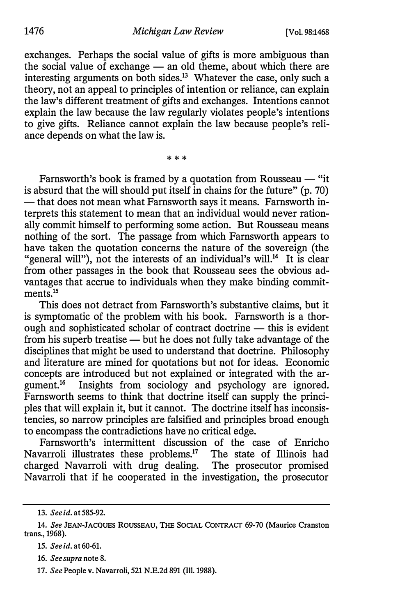exchanges. Perhaps the social value of gifts is more ambiguous than the social value of exchange  $-$  an old theme, about which there are interesting arguments on both sides.<sup>13</sup> Whatever the case, only such a theory, not an appeal to principles of intention or reliance, can explain the law's different treatment of gifts and exchanges. Intentions cannot explain the law because the law regularly violates people's intentions to give gifts. Reliance cannot explain the law because people's reliance depends on what the law is.

\*\*\*

Farnsworth's book is framed by a quotation from Rousseau  $-$  "it is absurd that the will should put itself in chains for the future" (p. 70) - that does not mean what Farnsworth says it means. Farnsworth interprets this statement to mean that an individual would never rationally commit himself to performing some action. But Rousseau means nothing of the sort. The passage from which Farnsworth appears to have taken the quotation concerns the nature of the sovereign (the "general will"), not the interests of an individual's will.<sup>14</sup> It is clear from other passages in the book that Rousseau sees the obvious advantages that accrue to individuals when they make binding commitments.<sup>15</sup>

This does not detract from Farnsworth's substantive claims, but it is symptomatic of the problem with his book. Farnsworth is a thorough and sophisticated scholar of contract doctrine  $-$  this is evident from his superb treatise  $-$  but he does not fully take advantage of the disciplines that might be used to understand that doctrine. Philosophy and literature are mined for quotations but not for ideas. Economic concepts are introduced but not explained or integrated with the argument.16 Insights from sociology and psychology are ignored. Farnsworth seems to think that doctrine itself can supply the principles that will explain it, but it cannot. The doctrine itself has inconsistencies, so narrow principles are falsified and principles broad enough to encompass the contradictions have no critical edge.

Farnsworth's intermittent discussion of the case of Enricho Navarroli illustrates these problems.<sup>17</sup> The state of Illinois had charged Navarroli with drug dealing. The prosecutor promised Navarroli that if he cooperated in the investigation, the prosecutor

16. See supra note 8.

<sup>13.</sup> See id. at 585-92.

<sup>14.</sup> See JEAN-JACQUES ROUSSEAU, THE SOCIAL CONTRACT 69-70 {Maurice Cranston trans., 1968).

<sup>15.</sup> See id. at 60-61.

<sup>17.</sup> See People v. Navarroli, 521 N.E.2d 891 {Ill. 1988).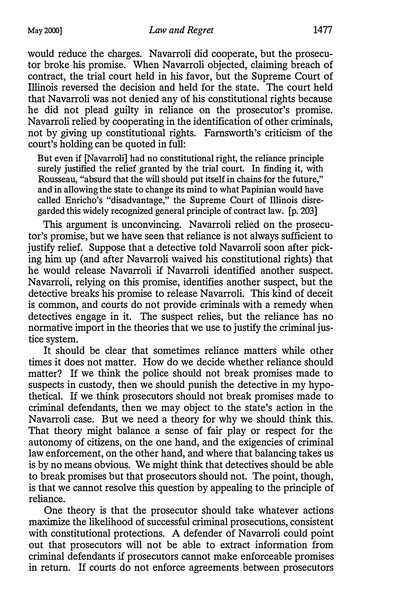would reduce the charges. Navarroli did cooperate, but the prosecutor broke his promise. When Navarroli objected, claiming breach of contract, the trial court held in his favor, but the Supreme Court of Illinois reversed the decision and held for the state. The court held that Navarroli was not denied any of his constitutional rights because he did not plead guilty in reliance on the prosecutor's promise. Navarroli relied by cooperating in the identification of other criminals, not by giving up constitutional rights. Farnsworth's criticism of the court's holding can be quoted in full:

But even if [Navarroli] had no constitutional right, the reliance principle surely justified the relief granted by the trial court. In finding it, with Rousseau, "absurd that the will should put itself in chains for the future," and in allowing the state to change its mind to what Papinian would have called Enricho's "disadvantage," the Supreme Court of Illinois disregarded this widely recognized general principle of contract law. [p. 203]

This argument is unconvincing. Navarroli relied on the prosecutor's promise, but we have seen that reliance is not always sufficient to justify relief. Suppose that a detective told Navarroli soon after picking him up (and after Navarroli waived his constitutional rights) that he would release Navarroli if Navarroli identified another suspect. Navarroli, relying on this promise, identifies another suspect, but the detective breaks his promise to release Navarroli. This kind of deceit is common, and courts do not provide criminals with a remedy when detectives engage in it. The suspect relies, but the reliance has no normative import in the theories that we use to justify the criminal justice system.

It should be clear that sometimes reliance matters while other times it does not matter. How do we decide whether reliance should matter? If we think the police should not break promises made to suspects in custody, then we should punish the detective in my hypothetical. If we think prosecutors should not break promises made to criminal defendants, then we may object to the state's action in the Navarroli case. But we need a theory for why we should think this. That theory might balance a sense of fair play or respect for the autonomy of citizens, on the one hand, and the exigencies of criminal law enforcement, on the other hand, and where that balancing takes us is by no means obvious. We might think that detectives should be able to break promises but that prosecutors should not. The point, though, is that we cannot resolve this question by appealing to the principle of reliance.

One theory is that the prosecutor should take whatever actions maximize the likelihood of successful criminal prosecutions, consistent with constitutional protections. A defender of Navarroli could point out that prosecutors will not be able to extract information from criminal defendants if prosecutors cannot make enforceable promises in return. If courts do not enforce agreements between prosecutors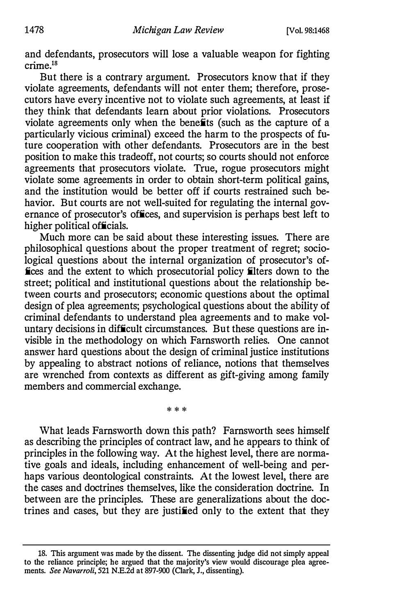and defendants, prosecutors will lose a valuable weapon for fighting  $cmme<sup>18</sup>$ 

But there is a contrary argument. Prosecutors know that if they violate agreements, defendants will not enter them; therefore, prosecutors have every incentive not to violate such agreements, at least if they think that defendants learn about prior violations. Prosecutors violate agreements only when the benefits (such as the capture of a particularly vicious criminal) exceed the harm to the prospects of future cooperation with other defendants. Prosecutors are in the best position to make this tradeoff, not courts; so courts should not enforce agreements that prosecutors violate. True, rogue prosecutors might violate some agreements in order to obtain short-term political gains, and the institution would be better off if courts restrained such behavior. But courts are not well-suited for regulating the internal governance of prosecutor's offices, and supervision is perhaps best left to higher political officials.

Much more can be said about these interesting issues. There are philosophical questions about the proper treatment of regret; sociological questions about the internal organization of prosecutor's offices and the extent to which prosecutorial policy filters down to the street; political and institutional questions about the relationship between courts and prosecutors; economic questions about the optimal design of plea agreements; psychological questions about the ability of criminal defendants to understand plea agreements and to make voluntary decisions in difficult circumstances. But these questions are invisible in the methodology on which Farnsworth relies. One cannot answer hard questions about the design of criminal justice institutions by appealing to abstract notions of reliance, notions that themselves are wrenched from contexts as different as gift-giving among family members and commercial exchange.

\*\*\*

What leads Farnsworth down this path? Farnsworth sees himself as describing the principles of contract law, and he appears to think of principles in the following way. At the highest level, there are normative goals and ideals, including enhancement of well-being and perhaps various deontological constraints. At the lowest level, there are the cases and doctrines themselves, like the consideration doctrine. In between are the principles. These are generalizations about the doctrines and cases, but they are justified only to the extent that they

<sup>18.</sup> This argument was made by the dissent. The dissenting judge did not simply appeal to the reliance principle; he argued that the majority's view would discourage plea agreements. See Navarroli, 521 N.E.2d at 897-900 (Clark, J., dissenting).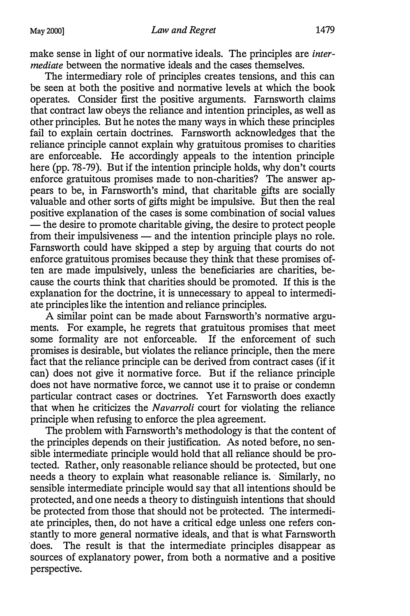make sense in light of our normative ideals. The principles are *inter*mediate between the normative ideals and the cases themselves.

The intermediary role of principles creates tensions, and this can be seen at both the positive and normative levels at which the book operates. Consider first the positive arguments. Farnsworth claims that contract law obeys the reliance and intention principles, as well as other principles. But he notes the many ways in which these principles fail to explain certain doctrines. Farnsworth acknowledges that the reliance principle cannot explain why gratuitous promises to charities are enforceable. He accordingly appeals to the intention principle here (pp. 78-79). But if the intention principle holds, why don't courts enforce gratuitous promises made to non-charities? The answer appears to be, in Farnsworth's mind, that charitable gifts are socially valuable and other sorts of gifts might be impulsive. But then the real positive explanation of the cases is some combination of social values - the desire to promote charitable giving, the desire to protect people from their impulsiveness — and the intention principle plays no role. Farnsworth could have skipped a step by arguing that courts do not enforce gratuitous promises because they think that these promises often are made impulsively, unless the beneficiaries are charities, because the courts think that charities should be promoted. If this is the explanation for the doctrine, it is unnecessary to appeal to intermediate principles like the intention and reliance principles.

A similar point can be made about Farnsworth's normative arguments. For example, he regrets that gratuitous promises that meet some formality are not enforceable. If the enforcement of such promises is desirable, but violates the reliance principle, then the mere fact that the reliance principle can be derived from contract cases (if it can) does not give it normative force. But if the reliance principle does not have normative force, we cannot use it to praise or condemn particular contract cases or doctrines. Yet Farnsworth does exactly that when he criticizes the *Navarroli* court for violating the reliance principle when refusing to enforce the plea agreement.

The problem with Farnsworth's methodology is that the content of the principles depends on their justification. As noted before, no sensible intermediate principle would hold that all reliance should be protected. Rather, only reasonable reliance should be protected, but one needs a theory to explain what reasonable reliance is. Similarly, no sensible intermediate principle would say that all intentions should be protected, and one needs a theory to distinguish intentions that should be protected from those that should not be protected. The intermediate principles, then, do not have a critical edge unless one refers constantly to more general normative ideals, and that is what Farnsworth -does. The result is that the intermediate principles disappear as sources of explanatory power, from both a normative and a positive perspective.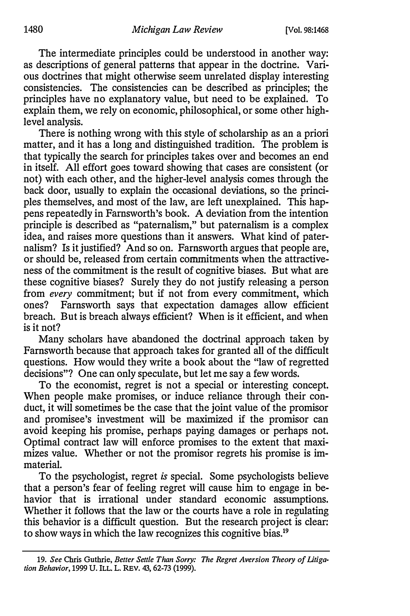The intermediate principles could be understood in another way: as descriptions of general patterns that appear in the doctrine. Various doctrines that might otherwise seem unrelated display interesting consistencies. The consistencies can be described as principles; the principles have no explanatory value, but need to be explained. To explain them, we rely on economic, philosophical, or some other highlevel analysis.

There is nothing wrong with this style of scholarship as an a priori matter, and it has a long and distinguished tradition. The problem is that typically the search for principles takes over and becomes an end in itself. All effort goes toward showing that cases are consistent (or not) with each other, and the higher-level analysis comes through the back door, usually to explain the occasional deviations, so the principles themselves, and most of the law, are left unexplained. This happens repeatedly in Farnsworth's book. A deviation from the intention principle is described as "paternalism," but paternalism is a complex idea, and raises more questions than it answers. What kind of paternalism? Is it justified? And so on. Farnsworth argues that people are, or should be, released from certain commitments when the attractiveness of the commitment is the result of cognitive biases. But what are these cognitive biases? Surely they do not justify releasing a person from every commitment; but if not from every commitment, which ones? Farnsworth says that expectation damages allow efficient breach. But is breach always efficient? When is it efficient, and when is it not?

Many scholars have abandoned the doctrinal approach taken by Farnsworth because that approach takes for granted all of the difficult questions. How would they write a book about the "law of regretted decisions"? One can only speculate, but let me say a few words.

To the economist, regret is not a special or interesting concept. When people make promises, or induce reliance through their conduct, it will sometimes be the case that the joint value of the promisor and promisee's investment will be maximized if the promisor can avoid keeping his promise, perhaps paying damages or perhaps not. Optimal contract law will enforce promises to the extent that maximizes value. Whether or not the promisor regrets his promise is immaterial.

To the psychologist, regret is special. Some psychologists believe that a person's fear of feeling regret will cause him to engage in behavior that is irrational under standard economic assumptions. Whether it follows that the law or the courts have a role in regulating this behavior is a difficult question. But the research project is clear: to show ways in which the law recognizes this cognitive bias.19

<sup>19.</sup> See Chris Guthrie, Better Settle Than Sorry: The Regret Aversion Theory of Litigation Behavior, 1999 U. ILL. L. REV. 43, 62-73 (1999).